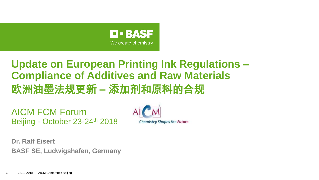

# **Update on European Printing Ink Regulations – Compliance of Additives and Raw Materials** 欧洲油墨法规更新 **–** 添加剂和原料的合规

AICM FCM Forum Beijing - October 23-24th 2018



**Dr. Ralf Eisert BASF SE, Ludwigshafen, Germany**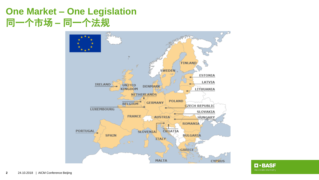## **One Market – One Legislation** 同一个市场 **–** 同一个法规



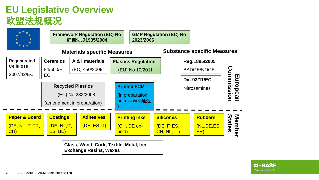# **EU Legislative Overview** 欧盟法规概况



**Glass, Wood, Cork, Textile, Metal, Ion Exchange Resins, Waxes**

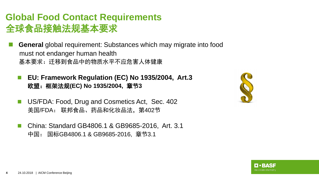### **Global Food Contact Requirements** 全球食品接触法规基本要求

- **General** global requirement: Substances which may migrate into food must not endanger human health 基本要求:迁移到食品中的物质水平不应危害人体健康
	- **EU: Framework Regulation (EC) No 1935/2004, Art.3** 欧盟:框架法规**(EC) No 1935/2004,** 章节**3**
	- US/FDA: Food, Drug and Cosmetics Act, Sec. 402 美国/FDA: 联邦食品、药品和化妆品法,第402节
	- China: Standard GB4806.1 & GB9685-2016, Art. 3.1 中国: 国标GB4806.1 & GB9685-2016, 章节3.1



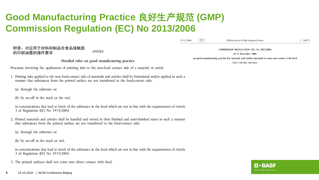# **Good Manufacturing Practice** 良好生产规范 **(GMP) Commission Regulation (EC) No 2013/2006**

附录:对应用于材料和制品非食品接触面 **COMMISSION REGULATION (EC) No 2023/2006 ANNEX** 的印刷油墨的操作要求of 22 December 2006 on good manufacturing practice for materials and articles intended to come into contact with food Detailed rules on good manufacturing practice (Text with EEA relevance) Processes involving the application of printing inks to the non-food contact side of a material or article 1. Printing inks applied to the non food-contact side of materials and articles shall be formulated and/or applied in such a manner that substances from the printed surface are not transferred to the food-contact side: (a) through the substrate or; (b) by set-off in the stack or the reel, in concentrations that lead to levels of the substance in the food which are not in line with the requirements of Article 3 of Regulation (EC) No 1935/2004. 2. Printed materials and articles shall be handled and stored in their finished and semi-finished states in such a manner that substances from the printed surface are not transferred to the food-contact side: (a) through the substrate or;

(b) by set-off in the stack or reel,

in concentrations that lead to levels of the substance in the food which are not in line with the requirements of Article 3 of Regulation (EC) No 1935/2004.

3. The printed surfaces shall not come into direct contact with food.

Official Journal of the European Union

L 384/75

 $EN$ 

29.12.2006

L FRASE We create chemistry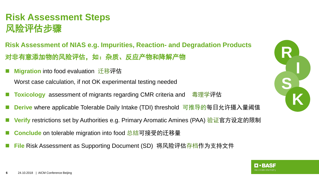# **Risk Assessment Steps** 风险评估步骤

**Risk Assessment of NIAS e.g. Impurities, Reaction- and Degradation Products** 对非有意添加物的风险评估,如:杂质、反应产物和降解产物

**Migration** into food evaluation 迁移评估

Worst case calculation, if not OK experimental testing needed

- **Toxicology** assessment of migrants regarding CMR criteria and 毒理学评估
- **Derive** where applicable Tolerable Daily Intake (TDI) threshold 可推导的每日允许摄入量阈值
- **Verify** restrictions set by Authorities e.g. Primary Aromatic Amines (PAA) <u>验证</u>官方设定的限制
- **Conclude** on tolerable migration into food 总结可接受的迁移量
- **File** Risk Assessment as Supporting Document (SD) 将风险评估存档作为支持文件



RASE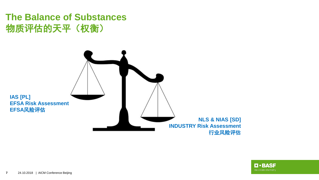## **The Balance of Substances** 物质评估的天平(权衡)



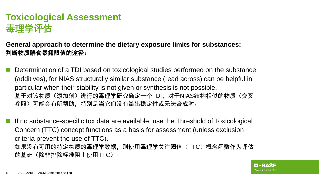# **Toxicological Assessment** 毒理学评估

**General approach to determine the dietary exposure limits for substances:**  判断物质膳食暴露限值的途径:

 Determination of a TDI based on toxicological studies performed on the substance (additives), for NIAS structurally similar substance (read across) can be helpful in particular when their stability is not given or synthesis is not possible. 基于对该物质(添加剂)进行的毒理学研究确定一个TDI,对于NIAS结构相似的物质(交叉 参照)可能会有所帮助,特别是当它们没有给出稳定性或无法合成时。

 If no substance-specific tox data are available, use the Threshold of Toxicological Concern (TTC) concept functions as a basis for assessment (unless exclusion criteria prevent the use of TTC). 如果没有可用的特定物质的毒理学数据,则使用毒理学关注阈值(TTC)概念函数作为评估 的基础(除非排除标准阻止使用TTC)。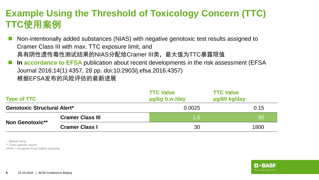# **Example Using the Threshold of Toxicology Concern (TTC) TTC**使用案例

- Non-intentionally added substances (NIAS) with negative genotoxic test results assigned to Cramer Class III with max. TTC exposure limit, and 具有阴性遗传毒性测试结果的NIAS分配给Cramer III类, 最大值为TTC暴露限值
- **In accordance to EFSA** publication about recent developments in the risk assessment (EFSA Journal 2016;14(1):4357, 28 pp. doi:10.2903/j.efsa.2016.4357) 根据EFSA发布的风险评估的最新进展

| <b>Type of TTC</b>                 |                         | <b>TTC Value</b><br>ug/kg b.w./day | <b>TTC Value</b><br>µg/60 kg/day |  |
|------------------------------------|-------------------------|------------------------------------|----------------------------------|--|
| <b>Genotoxic Structural Alert*</b> |                         | 0.0025                             | 0.15                             |  |
| <b>Non Genotoxic**</b>             | <b>Cramer Class III</b> | 1.5                                | 90                               |  |
|                                    | <b>Cramer Class I</b>   | 30                                 | 1800                             |  |

\* Default value \*\* Class specific values EFSA = European Food Safety Authority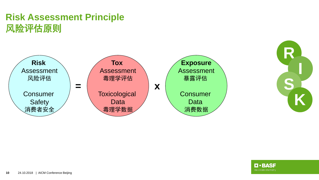# **Risk Assessment Principle** 风险评估原则





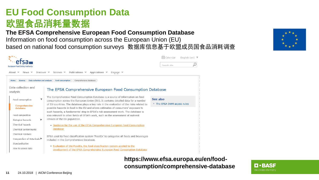#### **EU Food Consumption Data** 欧盟食品消耗量数据 **The EFSA Comprehensive European Food Consumption Database**

Information on food consumption across the European Union (EU) based on national food consumption surveys 数据库信息基于欧盟成员国食品消耗调查



**https://www.efsa.europa.eu/en/foodconsumption/comprehensive-database**



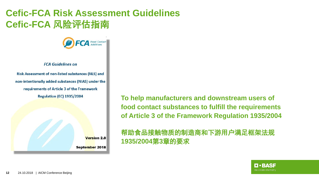# **Cefic-FCA Risk Assessment Guidelines Cefic-FCA** 风险评估指南



**FCA Guidelines on** 

Risk Assessment of non-listed substances (NLS) and non-intentionally added substances (NIAS) under the requirements of Article 3 of the Framework **Regulation (EC) 1935/2004** 

**Version 2.0** 

September 2018

**To help manufacturers and downstream users of food contact substances to fulfill the requirements of Article 3 of the Framework Regulation 1935/2004**

帮助食品接触物质的制造商和下游用户满足框架法规 **1935/2004**第**3**章的要求

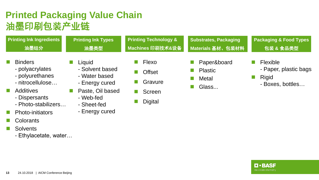# **Printed Packaging Value Chain** 油墨印刷包装产业链

| <b>Printing Ink Ingredients</b>                                          | <b>Printing Ink Types</b>                                    | <b>Printing Technology &amp;</b>  | <b>Substrates, Packaging</b>                               | <b>Packaging &amp; Food Types</b>                                            |
|--------------------------------------------------------------------------|--------------------------------------------------------------|-----------------------------------|------------------------------------------------------------|------------------------------------------------------------------------------|
| 油墨组分                                                                     | 油墨类型                                                         | Machines 印刷技术&设备                  | Materials 基材、包装材料                                          | 包装 & 食品类型                                                                    |
| <b>Binders</b><br>- polyacrylates<br>- polyurethanes<br>- nitrocellulose | Liquid<br>- Solvent based<br>- Water based<br>- Energy cured | Flexo<br><b>Offset</b><br>Gravure | <b>Paper&amp;board</b><br><b>Plastic</b><br>Metal<br>Glass | <b>Flexible</b><br>- Paper, plastic bags<br><b>Rigid</b><br>- Boxes, bottles |
| <b>Additives</b>                                                         | Paste, Oil based                                             | Screen                            |                                                            |                                                                              |

- Dispersants
- Photo-stabilizers…
- **Photo-initiators**
- **Colorants**
- **Solvents** 
	- Ethylacetate, water…

- Sheet-fed

- Web-fed

- Energy cured

- 
- **Digital**

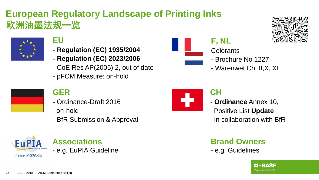# **European Regulatory Landscape of Printing Inks** 欧洲油墨法规一览



#### **EU**

- **Regulation (EC) 1935/2004**
- **- Regulation (EC) 2023/2006**
- CoE Res AP(2005) 2, out of date
- pFCM Measure: on-hold



#### **F, NL**

- **Colorants**
- Brochure No 1227
- Warenwet Ch. II,X, XI

#### **GER**

- Ordinance-Draft 2016 on-hold
- BfR Submission & Approval



#### **Associations** - e.g. EuPIA Guideline



#### **CH**

- **Ordinance** Annex 10, Positive List **Update** In collaboration with BfR

**Brand Owners** - e.g. Guidelines

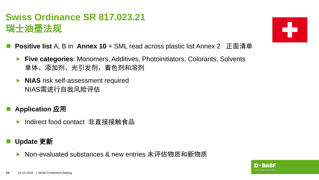# **Swiss Ordinance SR 817.023.21** 瑞士油墨法规



- **Positive list** A, B in **Annex 10** + SML read across plastic list Annex 2 正面清单
	- **Five categories**: Monomers, Additives, Photoinitiators, Colorants, Solvents 单体、添加剂、光引发剂、着色剂和溶剂
	- **NIAS** risk self-assessment required NIAS需进行自我风险评估
- **Application** 应用
	- Indirect food contact 非直接接触食品
- **Update** 更新
	- Non-evaluated substances & new entries 未评估物质和新物质

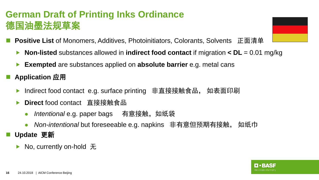# **German Draft of Printing Inks Ordinance** 德国油墨法规草案

- **Positive List** of Monomers, Additives, Photoinitiators, Colorants, Solvents 正面清单
	- **Non-listed** substances allowed in **indirect food contact** if migration **< DL** = 0.01 mg/kg
	- **Exempted** are substances applied on **absolute barrier** e.g. metal cans
	- **Application** 应用
		- Indirect food contacte.g. surface printing 非直接接触食品, 如表面印刷
		- **Direct** food contact 直接接触食品
			- Intentional e.g. paper bags 有意接触, 如纸袋
			- *Non-intentional* but foreseeable e.g. napkins 非有意但预期有接触, 如纸巾
- **Update** 更新
	- No, currently on-hold 无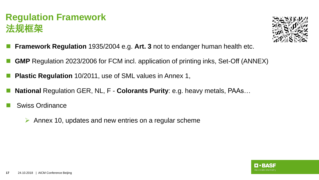## **Regulation Framework** 法规框架



- **Framework Regulation** 1935/2004 e.g. **Art. 3** not to endanger human health etc.
- **GMP** Regulation 2023/2006 for FCM incl. application of printing inks, Set-Off (ANNEX)
- **Plastic Regulation** 10/2011, use of SML values in Annex 1,
- **National** Regulation GER, NL, F **Colorants Purity**: e.g. heavy metals, PAAs…
- Swiss Ordinance
	- $\triangleright$  Annex 10, updates and new entries on a regular scheme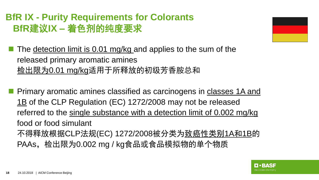# **BfR IX - Purity Requirements for Colorants BfR**建议**IX –** 着色剂的纯度要求

The detection limit is 0.01 mg/kg and applies to the sum of the released primary aromatic amines 检出限为0.01 mg/kg适用于所释放的初级芳香胺总和

**Primary aromatic amines classified as carcinogens in classes 1A and** 1B of the CLP Regulation (EC) 1272/2008 may not be released referred to the single substance with a detection limit of 0.002 mg/kg food or food simulant 不得释放根据CLP法规(EC) 1272/2008被分类为<u>致癌性类别1A和1B</u>的 PAAs,检出限为0.002 mg / kg食品或食品模拟物的单个物质